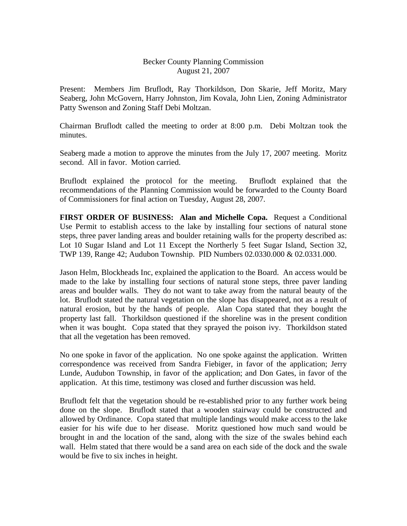## Becker County Planning Commission August 21, 2007

Present: Members Jim Bruflodt, Ray Thorkildson, Don Skarie, Jeff Moritz, Mary Seaberg, John McGovern, Harry Johnston, Jim Kovala, John Lien, Zoning Administrator Patty Swenson and Zoning Staff Debi Moltzan.

Chairman Bruflodt called the meeting to order at 8:00 p.m. Debi Moltzan took the minutes.

Seaberg made a motion to approve the minutes from the July 17, 2007 meeting. Moritz second. All in favor. Motion carried.

Bruflodt explained the protocol for the meeting. Bruflodt explained that the recommendations of the Planning Commission would be forwarded to the County Board of Commissioners for final action on Tuesday, August 28, 2007.

**FIRST ORDER OF BUSINESS: Alan and Michelle Copa.** Request a Conditional Use Permit to establish access to the lake by installing four sections of natural stone steps, three paver landing areas and boulder retaining walls for the property described as: Lot 10 Sugar Island and Lot 11 Except the Northerly 5 feet Sugar Island, Section 32, TWP 139, Range 42; Audubon Township. PID Numbers 02.0330.000 & 02.0331.000.

Jason Helm, Blockheads Inc, explained the application to the Board. An access would be made to the lake by installing four sections of natural stone steps, three paver landing areas and boulder walls. They do not want to take away from the natural beauty of the lot. Bruflodt stated the natural vegetation on the slope has disappeared, not as a result of natural erosion, but by the hands of people. Alan Copa stated that they bought the property last fall. Thorkildson questioned if the shoreline was in the present condition when it was bought. Copa stated that they sprayed the poison ivy. Thorkildson stated that all the vegetation has been removed.

No one spoke in favor of the application. No one spoke against the application. Written correspondence was received from Sandra Fiebiger, in favor of the application; Jerry Lunde, Audubon Township, in favor of the application; and Don Gates, in favor of the application. At this time, testimony was closed and further discussion was held.

Bruflodt felt that the vegetation should be re-established prior to any further work being done on the slope. Bruflodt stated that a wooden stairway could be constructed and allowed by Ordinance. Copa stated that multiple landings would make access to the lake easier for his wife due to her disease. Moritz questioned how much sand would be brought in and the location of the sand, along with the size of the swales behind each wall. Helm stated that there would be a sand area on each side of the dock and the swale would be five to six inches in height.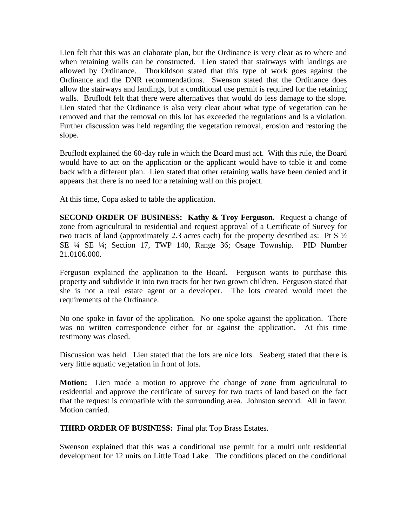Lien felt that this was an elaborate plan, but the Ordinance is very clear as to where and when retaining walls can be constructed. Lien stated that stairways with landings are allowed by Ordinance. Thorkildson stated that this type of work goes against the Ordinance and the DNR recommendations. Swenson stated that the Ordinance does allow the stairways and landings, but a conditional use permit is required for the retaining walls. Bruflodt felt that there were alternatives that would do less damage to the slope. Lien stated that the Ordinance is also very clear about what type of vegetation can be removed and that the removal on this lot has exceeded the regulations and is a violation. Further discussion was held regarding the vegetation removal, erosion and restoring the slope.

Bruflodt explained the 60-day rule in which the Board must act. With this rule, the Board would have to act on the application or the applicant would have to table it and come back with a different plan. Lien stated that other retaining walls have been denied and it appears that there is no need for a retaining wall on this project.

At this time, Copa asked to table the application.

**SECOND ORDER OF BUSINESS: Kathy & Troy Ferguson.** Request a change of zone from agricultural to residential and request approval of a Certificate of Survey for two tracts of land (approximately 2.3 acres each) for the property described as: Pt S ½ SE ¼ SE ¼; Section 17, TWP 140, Range 36; Osage Township. PID Number 21.0106.000.

Ferguson explained the application to the Board. Ferguson wants to purchase this property and subdivide it into two tracts for her two grown children. Ferguson stated that she is not a real estate agent or a developer. The lots created would meet the requirements of the Ordinance.

No one spoke in favor of the application. No one spoke against the application. There was no written correspondence either for or against the application. At this time testimony was closed.

Discussion was held. Lien stated that the lots are nice lots. Seaberg stated that there is very little aquatic vegetation in front of lots.

**Motion:** Lien made a motion to approve the change of zone from agricultural to residential and approve the certificate of survey for two tracts of land based on the fact that the request is compatible with the surrounding area. Johnston second. All in favor. Motion carried.

**THIRD ORDER OF BUSINESS:** Final plat Top Brass Estates.

Swenson explained that this was a conditional use permit for a multi unit residential development for 12 units on Little Toad Lake. The conditions placed on the conditional